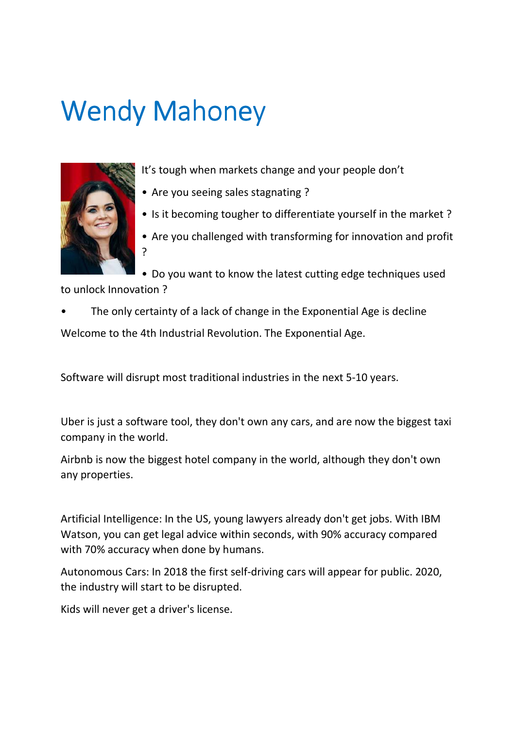## **Wendy Mahoney**



It's tough when markets change and your people don't

- Are you seeing sales stagnating ?
- Is it becoming tougher to differentiate yourself in the market ?
- Are you challenged with transforming for innovation and profit ?

• Do you want to know the latest cutting edge techniques used to unlock Innovation ?

The only certainty of a lack of change in the Exponential Age is decline Welcome to the 4th Industrial Revolution. The Exponential Age.

Software will disrupt most traditional industries in the next 5-10 years.

Uber is just a software tool, they don't own any cars, and are now the biggest taxi company in the world.

Airbnb is now the biggest hotel company in the world, although they don't own any properties.

Artificial Intelligence: In the US, young lawyers already don't get jobs. With IBM Watson, you can get legal advice within seconds, with 90% accuracy compared with 70% accuracy when done by humans.

Autonomous Cars: In 2018 the first self-driving cars will appear for public. 2020, the industry will start to be disrupted.

Kids will never get a driver's license.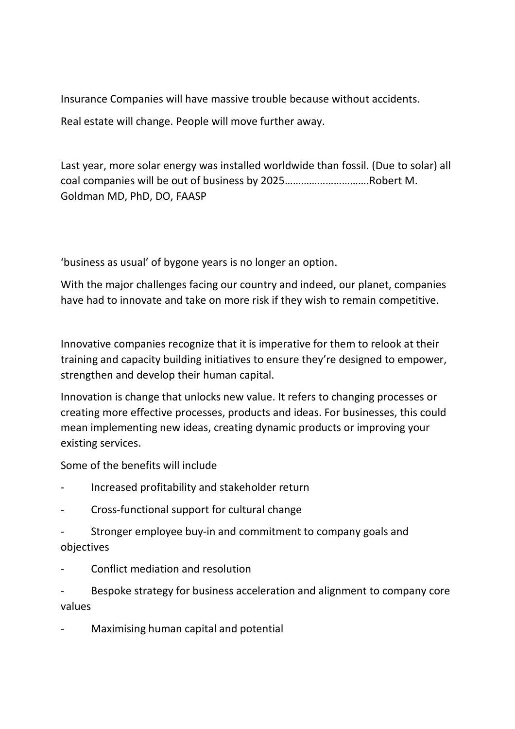Insurance Companies will have massive trouble because without accidents. Real estate will change. People will move further away.

Last year, more solar energy was installed worldwide than fossil. (Due to solar) all coal companies will be out of business by 2025………………………….Robert M. Goldman MD, PhD, DO, FAASP

'business as usual' of bygone years is no longer an option.

With the major challenges facing our country and indeed, our planet, companies have had to innovate and take on more risk if they wish to remain competitive.

Innovative companies recognize that it is imperative for them to relook at their training and capacity building initiatives to ensure they're designed to empower, strengthen and develop their human capital.

Innovation is change that unlocks new value. It refers to changing processes or creating more effective processes, products and ideas. For businesses, this could mean implementing new ideas, creating dynamic products or improving your existing services.

Some of the benefits will include

- Increased profitability and stakeholder return
- Cross-functional support for cultural change
- Stronger employee buy-in and commitment to company goals and objectives
- Conflict mediation and resolution

Bespoke strategy for business acceleration and alignment to company core values

- Maximising human capital and potential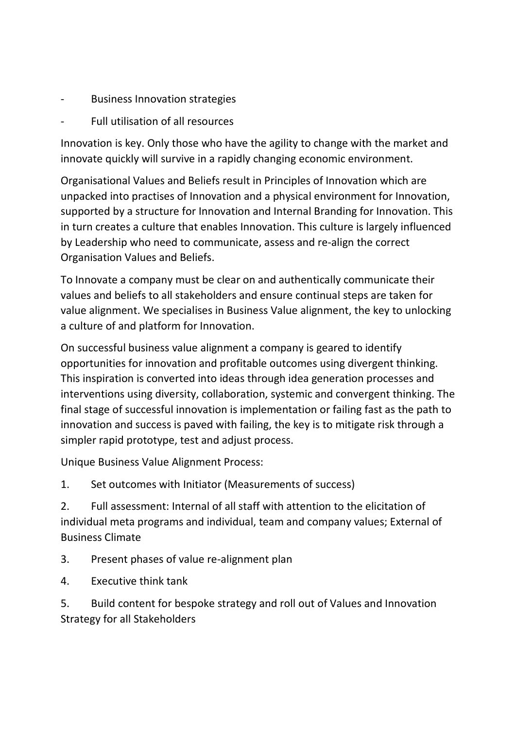- **Business Innovation strategies**
- Full utilisation of all resources

Innovation is key. Only those who have the agility to change with the market and innovate quickly will survive in a rapidly changing economic environment.

Organisational Values and Beliefs result in Principles of Innovation which are unpacked into practises of Innovation and a physical environment for Innovation, supported by a structure for Innovation and Internal Branding for Innovation. This in turn creates a culture that enables Innovation. This culture is largely influenced by Leadership who need to communicate, assess and re-align the correct Organisation Values and Beliefs.

To Innovate a company must be clear on and authentically communicate their values and beliefs to all stakeholders and ensure continual steps are taken for value alignment. We specialises in Business Value alignment, the key to unlocking a culture of and platform for Innovation.

On successful business value alignment a company is geared to identify opportunities for innovation and profitable outcomes using divergent thinking. This inspiration is converted into ideas through idea generation processes and interventions using diversity, collaboration, systemic and convergent thinking. The final stage of successful innovation is implementation or failing fast as the path to innovation and success is paved with failing, the key is to mitigate risk through a simpler rapid prototype, test and adjust process.

Unique Business Value Alignment Process:

1. Set outcomes with Initiator (Measurements of success)

2. Full assessment: Internal of all staff with attention to the elicitation of individual meta programs and individual, team and company values; External of Business Climate

- 3. Present phases of value re-alignment plan
- 4. Executive think tank

5. Build content for bespoke strategy and roll out of Values and Innovation Strategy for all Stakeholders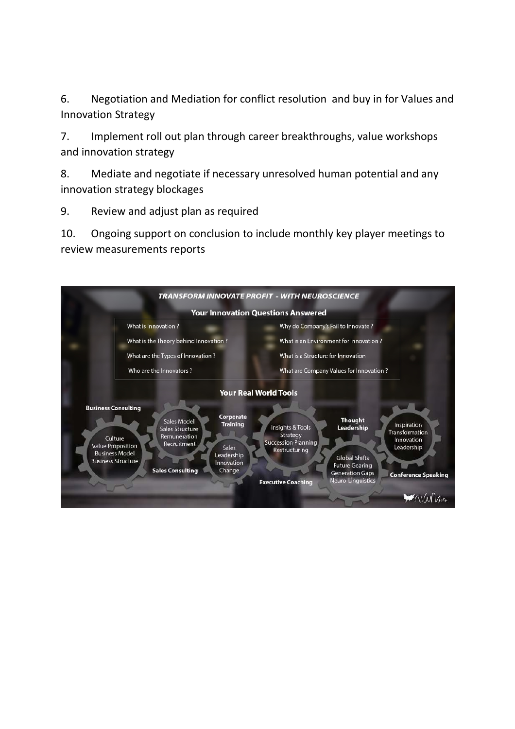6. Negotiation and Mediation for conflict resolution and buy in for Values and Innovation Strategy

7. Implement roll out plan through career breakthroughs, value workshops and innovation strategy

8. Mediate and negotiate if necessary unresolved human potential and any innovation strategy blockages

9. Review and adjust plan as required

10. Ongoing support on conclusion to include monthly key player meetings to review measurements reports